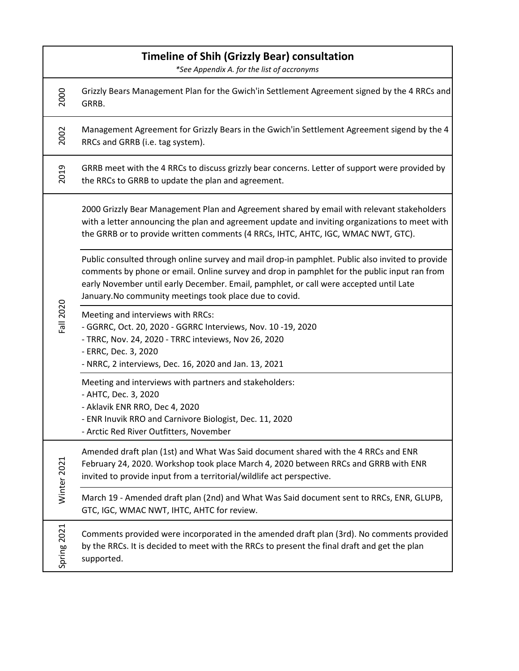| Timeline of Shih (Grizzly Bear) consultation<br>*See Appendix A. for the list of accronyms |                                                                                                                                                                                                                                                                                                                                                       |  |
|--------------------------------------------------------------------------------------------|-------------------------------------------------------------------------------------------------------------------------------------------------------------------------------------------------------------------------------------------------------------------------------------------------------------------------------------------------------|--|
| 2000                                                                                       | Grizzly Bears Management Plan for the Gwich'in Settlement Agreement signed by the 4 RRCs and<br>GRRB.                                                                                                                                                                                                                                                 |  |
| 2002                                                                                       | Management Agreement for Grizzly Bears in the Gwich'in Settlement Agreement sigend by the 4<br>RRCs and GRRB (i.e. tag system).                                                                                                                                                                                                                       |  |
| 2019                                                                                       | GRRB meet with the 4 RRCs to discuss grizzly bear concerns. Letter of support were provided by<br>the RRCs to GRRB to update the plan and agreement.                                                                                                                                                                                                  |  |
| Fall 2020                                                                                  | 2000 Grizzly Bear Management Plan and Agreement shared by email with relevant stakeholders<br>with a letter announcing the plan and agreement update and inviting organizations to meet with<br>the GRRB or to provide written comments (4 RRCs, IHTC, AHTC, IGC, WMAC NWT, GTC).                                                                     |  |
|                                                                                            | Public consulted through online survey and mail drop-in pamphlet. Public also invited to provide<br>comments by phone or email. Online survey and drop in pamphlet for the public input ran from<br>early November until early December. Email, pamphlet, or call were accepted until Late<br>January. No community meetings took place due to covid. |  |
|                                                                                            | Meeting and interviews with RRCs:<br>- GGRRC, Oct. 20, 2020 - GGRRC Interviews, Nov. 10 -19, 2020<br>- TRRC, Nov. 24, 2020 - TRRC inteviews, Nov 26, 2020<br>- ERRC, Dec. 3, 2020<br>- NRRC, 2 interviews, Dec. 16, 2020 and Jan. 13, 2021                                                                                                            |  |
|                                                                                            | Meeting and interviews with partners and stakeholders:<br>- AHTC, Dec. 3, 2020<br>- Aklavik ENR RRO, Dec 4, 2020<br>ENR Inuvik RRO and Carnivore Biologist, Dec. 11, 2020<br>- Arctic Red River Outfitters, November                                                                                                                                  |  |
| Winter 2021                                                                                | Amended draft plan (1st) and What Was Said document shared with the 4 RRCs and ENR<br>February 24, 2020. Workshop took place March 4, 2020 between RRCs and GRRB with ENR<br>invited to provide input from a territorial/wildlife act perspective.                                                                                                    |  |
|                                                                                            | March 19 - Amended draft plan (2nd) and What Was Said document sent to RRCs, ENR, GLUPB,<br>GTC, IGC, WMAC NWT, IHTC, AHTC for review.                                                                                                                                                                                                                |  |
| Spring 2021                                                                                | Comments provided were incorporated in the amended draft plan (3rd). No comments provided<br>by the RRCs. It is decided to meet with the RRCs to present the final draft and get the plan<br>supported.                                                                                                                                               |  |